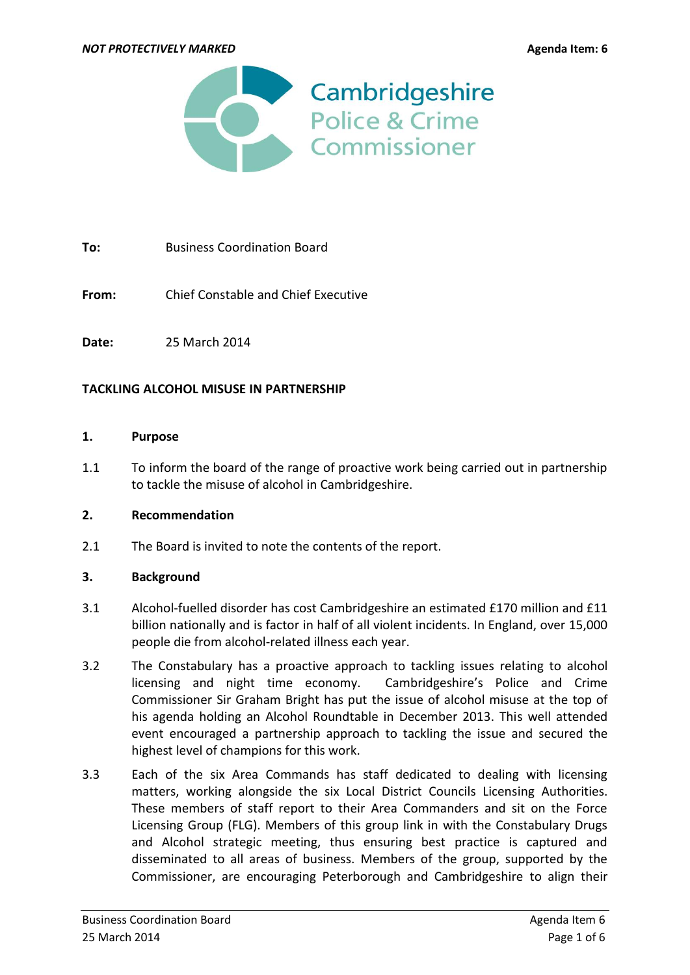

**To:** Business Coordination Board

**From:** Chief Constable and Chief Executive

**Date:** 25 March 2014

#### **TACKLING ALCOHOL MISUSE IN PARTNERSHIP**

#### **1. Purpose**

1.1 To inform the board of the range of proactive work being carried out in partnership to tackle the misuse of alcohol in Cambridgeshire.

#### **2. Recommendation**

2.1 The Board is invited to note the contents of the report.

#### **3. Background**

- 3.1 Alcohol-fuelled disorder has cost Cambridgeshire an estimated £170 million and £11 billion nationally and is factor in half of all violent incidents. In England, over 15,000 people die from alcohol-related illness each year.
- 3.2 The Constabulary has a proactive approach to tackling issues relating to alcohol licensing and night time economy. Cambridgeshire's Police and Crime Commissioner Sir Graham Bright has put the issue of alcohol misuse at the top of his agenda holding an Alcohol Roundtable in December 2013. This well attended event encouraged a partnership approach to tackling the issue and secured the highest level of champions for this work.
- 3.3 Each of the six Area Commands has staff dedicated to dealing with licensing matters, working alongside the six Local District Councils Licensing Authorities. These members of staff report to their Area Commanders and sit on the Force Licensing Group (FLG). Members of this group link in with the Constabulary Drugs and Alcohol strategic meeting, thus ensuring best practice is captured and disseminated to all areas of business. Members of the group, supported by the Commissioner, are encouraging Peterborough and Cambridgeshire to align their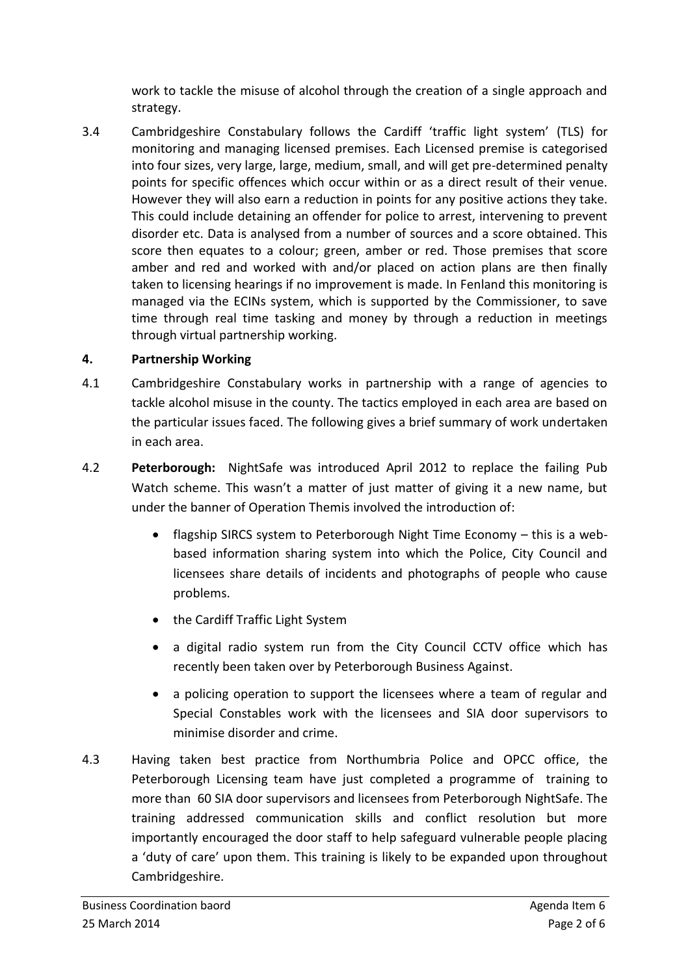work to tackle the misuse of alcohol through the creation of a single approach and strategy.

3.4 Cambridgeshire Constabulary follows the Cardiff 'traffic light system' (TLS) for monitoring and managing licensed premises. Each Licensed premise is categorised into four sizes, very large, large, medium, small, and will get pre-determined penalty points for specific offences which occur within or as a direct result of their venue. However they will also earn a reduction in points for any positive actions they take. This could include detaining an offender for police to arrest, intervening to prevent disorder etc. Data is analysed from a number of sources and a score obtained. This score then equates to a colour; green, amber or red. Those premises that score amber and red and worked with and/or placed on action plans are then finally taken to licensing hearings if no improvement is made. In Fenland this monitoring is managed via the ECINs system, which is supported by the Commissioner, to save time through real time tasking and money by through a reduction in meetings through virtual partnership working.

## **4. Partnership Working**

- 4.1 Cambridgeshire Constabulary works in partnership with a range of agencies to tackle alcohol misuse in the county. The tactics employed in each area are based on the particular issues faced. The following gives a brief summary of work undertaken in each area.
- 4.2 **Peterborough:** NightSafe was introduced April 2012 to replace the failing Pub Watch scheme. This wasn't a matter of just matter of giving it a new name, but under the banner of Operation Themis involved the introduction of:
	- flagship SIRCS system to Peterborough Night Time Economy this is a webbased information sharing system into which the Police, City Council and licensees share details of incidents and photographs of people who cause problems.
	- the Cardiff Traffic Light System
	- a digital radio system run from the City Council CCTV office which has recently been taken over by Peterborough Business Against.
	- a policing operation to support the licensees where a team of regular and Special Constables work with the licensees and SIA door supervisors to minimise disorder and crime.
- 4.3 Having taken best practice from Northumbria Police and OPCC office, the Peterborough Licensing team have just completed a programme of training to more than 60 SIA door supervisors and licensees from Peterborough NightSafe. The training addressed communication skills and conflict resolution but more importantly encouraged the door staff to help safeguard vulnerable people placing a 'duty of care' upon them. This training is likely to be expanded upon throughout Cambridgeshire.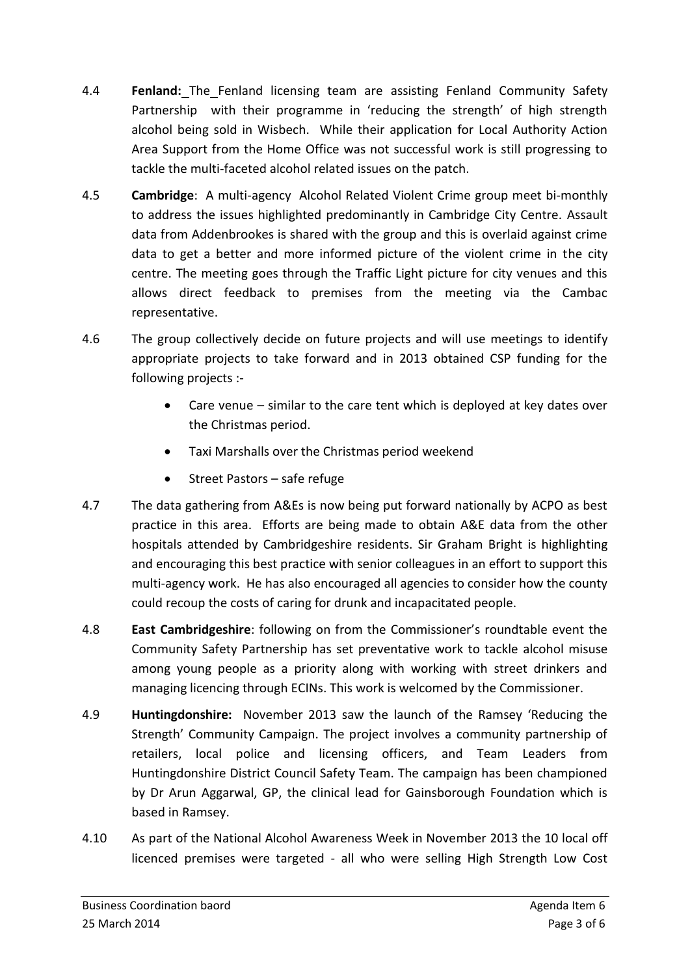- 4.4 **Fenland:** The Fenland licensing team are assisting Fenland Community Safety Partnership with their programme in 'reducing the strength' of high strength alcohol being sold in Wisbech. While their application for Local Authority Action Area Support from the Home Office was not successful work is still progressing to tackle the multi-faceted alcohol related issues on the patch.
- 4.5 **Cambridge**: A multi-agency Alcohol Related Violent Crime group meet bi-monthly to address the issues highlighted predominantly in Cambridge City Centre. Assault data from Addenbrookes is shared with the group and this is overlaid against crime data to get a better and more informed picture of the violent crime in the city centre. The meeting goes through the Traffic Light picture for city venues and this allows direct feedback to premises from the meeting via the Cambac representative.
- 4.6 The group collectively decide on future projects and will use meetings to identify appropriate projects to take forward and in 2013 obtained CSP funding for the following projects :-
	- Care venue similar to the care tent which is deployed at key dates over the Christmas period.
	- Taxi Marshalls over the Christmas period weekend
	- Street Pastors safe refuge
- 4.7 The data gathering from A&Es is now being put forward nationally by ACPO as best practice in this area. Efforts are being made to obtain A&E data from the other hospitals attended by Cambridgeshire residents. Sir Graham Bright is highlighting and encouraging this best practice with senior colleagues in an effort to support this multi-agency work. He has also encouraged all agencies to consider how the county could recoup the costs of caring for drunk and incapacitated people.
- 4.8 **East Cambridgeshire**: following on from the Commissioner's roundtable event the Community Safety Partnership has set preventative work to tackle alcohol misuse among young people as a priority along with working with street drinkers and managing licencing through ECINs. This work is welcomed by the Commissioner.
- 4.9 **Huntingdonshire:** November 2013 saw the launch of the Ramsey 'Reducing the Strength' Community Campaign. The project involves a community partnership of retailers, local police and licensing officers, and Team Leaders from Huntingdonshire District Council Safety Team. The campaign has been championed by Dr Arun Aggarwal, GP, the clinical lead for Gainsborough Foundation which is based in Ramsey.
- 4.10 As part of the National Alcohol Awareness Week in November 2013 the 10 local off licenced premises were targeted - all who were selling High Strength Low Cost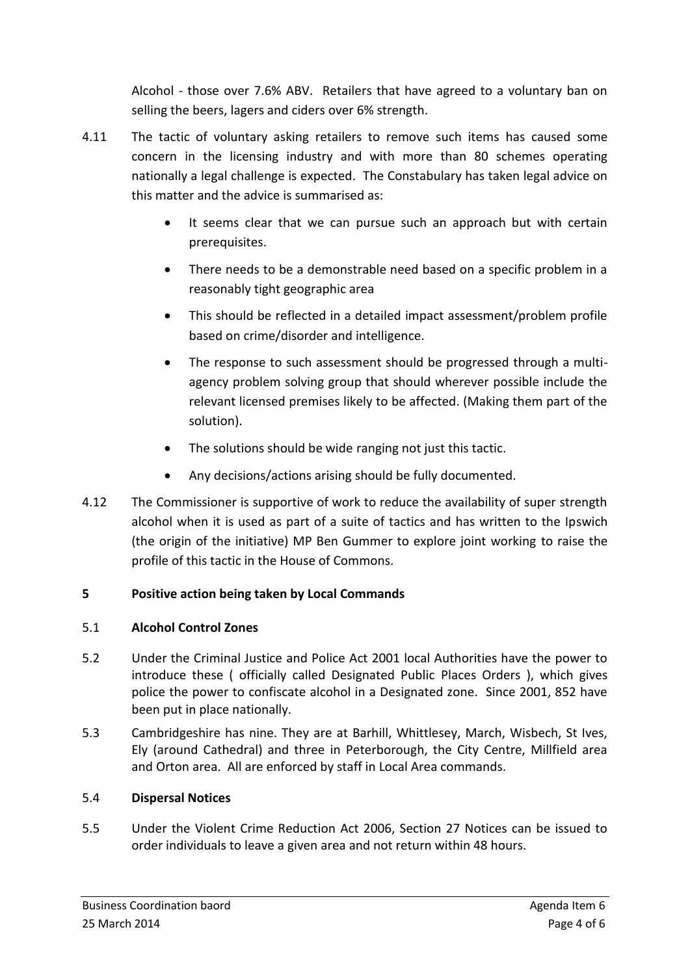Alcohol - those over 7.6% ABV. Retailers that have agreed to a voluntary ban on selling the beers, lagers and ciders over 6% strength.

- 4.11 The tactic of voluntary asking retailers to remove such items has caused some concern in the licensing industry and with more than 80 schemes operating nationally a legal challenge is expected. The Constabulary has taken legal advice on this matter and the advice is summarised as:
	- It seems clear that we can pursue such an approach but with certain prerequisites.
	- There needs to be a demonstrable need based on a specific problem in a reasonably tight geographic area
	- This should be reflected in a detailed impact assessment/problem profile based on crime/disorder and intelligence.
	- The response to such assessment should be progressed through a multiagency problem solving group that should wherever possible include the relevant licensed premises likely to be affected. (Making them part of the solution).
	- The solutions should be wide ranging not just this tactic.
	- Any decisions/actions arising should be fully documented.
- 4.12 The Commissioner is supportive of work to reduce the availability of super strength alcohol when it is used as part of a suite of tactics and has written to the Ipswich (the origin of the initiative) MP Ben Gummer to explore joint working to raise the profile of this tactic in the House of Commons.

# **5 Positive action being taken by Local Commands**

# 5.1 **Alcohol Control Zones**

- 5.2 Under the Criminal Justice and Police Act 2001 local Authorities have the power to introduce these ( officially called Designated Public Places Orders ), which gives police the power to confiscate alcohol in a Designated zone. Since 2001, 852 have been put in place nationally.
- 5.3 Cambridgeshire has nine. They are at Barhill, Whittlesey, March, Wisbech, St Ives, Ely (around Cathedral) and three in Peterborough, the City Centre, Millfield area and Orton area. All are enforced by staff in Local Area commands.

# 5.4 **Dispersal Notices**

5.5 Under the Violent Crime Reduction Act 2006, Section 27 Notices can be issued to order individuals to leave a given area and not return within 48 hours.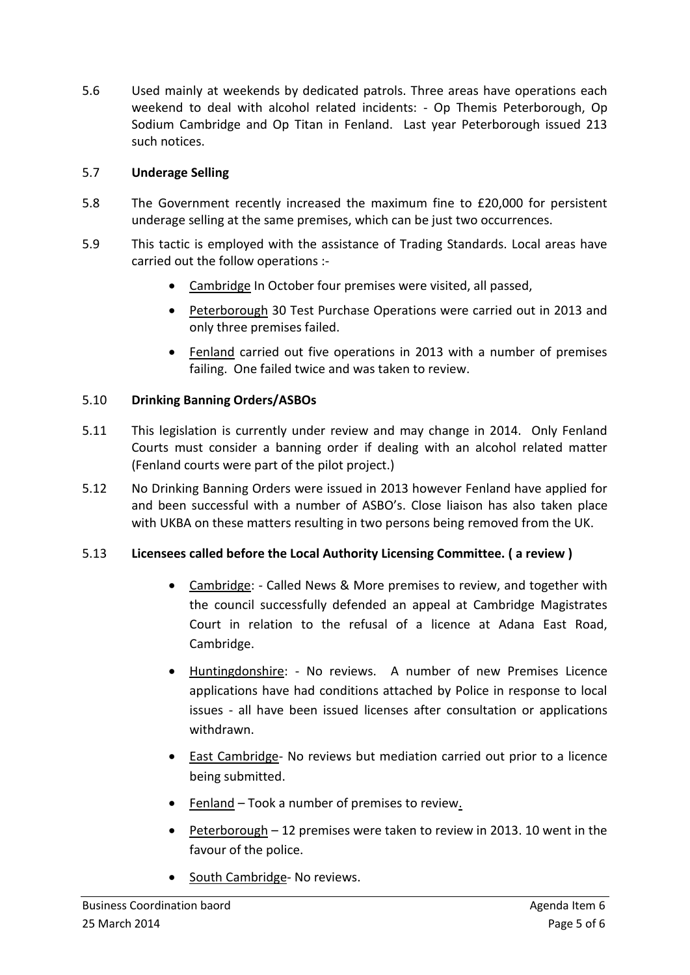5.6 Used mainly at weekends by dedicated patrols. Three areas have operations each weekend to deal with alcohol related incidents: - Op Themis Peterborough, Op Sodium Cambridge and Op Titan in Fenland. Last year Peterborough issued 213 such notices.

### 5.7 **Underage Selling**

- 5.8 The Government recently increased the maximum fine to £20,000 for persistent underage selling at the same premises, which can be just two occurrences.
- 5.9 This tactic is employed with the assistance of Trading Standards. Local areas have carried out the follow operations :-
	- Cambridge In October four premises were visited, all passed,
	- Peterborough 30 Test Purchase Operations were carried out in 2013 and only three premises failed.
	- Fenland carried out five operations in 2013 with a number of premises failing. One failed twice and was taken to review.

### 5.10 **Drinking Banning Orders/ASBOs**

- 5.11 This legislation is currently under review and may change in 2014. Only Fenland Courts must consider a banning order if dealing with an alcohol related matter (Fenland courts were part of the pilot project.)
- 5.12 No Drinking Banning Orders were issued in 2013 however Fenland have applied for and been successful with a number of ASBO's. Close liaison has also taken place with UKBA on these matters resulting in two persons being removed from the UK.

### 5.13 **Licensees called before the Local Authority Licensing Committee. ( a review )**

- Cambridge: Called News & More premises to review, and together with the council successfully defended an appeal at Cambridge Magistrates Court in relation to the refusal of a licence at Adana East Road, Cambridge.
- Huntingdonshire: No reviews. A number of new Premises Licence applications have had conditions attached by Police in response to local issues - all have been issued licenses after consultation or applications withdrawn.
- East Cambridge- No reviews but mediation carried out prior to a licence being submitted.
- Fenland Took a number of premises to review.
- $\bullet$  Peterborough 12 premises were taken to review in 2013. 10 went in the favour of the police.
- South Cambridge- No reviews.